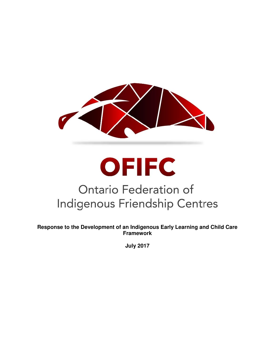

# **OFIFC Ontario Federation of Indigenous Friendship Centres**

**Response to the Development of an Indigenous Early Learning and Child Care Framework** 

**July 2017**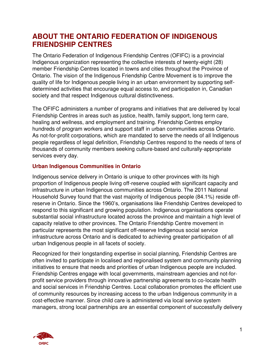## **ABOUT THE ONTARIO FEDERATION OF INDIGENOUS FRIENDSHIP CENTRES**

The Ontario Federation of Indigenous Friendship Centres (OFIFC) is a provincial Indigenous organization representing the collective interests of twenty-eight (28) member Friendship Centres located in towns and cities throughout the Province of Ontario. The vision of the Indigenous Friendship Centre Movement is to improve the quality of life for Indigenous people living in an urban environment by supporting selfdetermined activities that encourage equal access to, and participation in, Canadian society and that respect Indigenous cultural distinctiveness.

The OFIFC administers a number of programs and initiatives that are delivered by local Friendship Centres in areas such as justice, health, family support, long term care, healing and wellness, and employment and training. Friendship Centres employ hundreds of program workers and support staff in urban communities across Ontario. As not-for-profit corporations, which are mandated to serve the needs of all Indigenous people regardless of legal definition, Friendship Centres respond to the needs of tens of thousands of community members seeking culture-based and culturally-appropriate services every day.

#### **Urban Indigenous Communities in Ontario**

Indigenous service delivery in Ontario is unique to other provinces with its high proportion of Indigenous people living off-reserve coupled with significant capacity and infrastructure in urban Indigenous communities across Ontario. The 2011 National Household Survey found that the vast majority of Indigenous people (84.1%) reside offreserve in Ontario. Since the 1960's, organisations like Friendship Centres developed to respond to this significant and growing population. Indigenous organisations operate substantial social infrastructure located across the province and maintain a high level of capacity relative to other provinces. The Ontario Friendship Centre movement in particular represents the most significant off-reserve Indigenous social service infrastructure across Ontario and is dedicated to achieving greater participation of all urban Indigenous people in all facets of society.

Recognized for their longstanding expertise in social planning, Friendship Centres are often invited to participate in localised and regionalised system and community planning initiatives to ensure that needs and priorities of urban Indigenous people are included. Friendship Centres engage with local governments, mainstream agencies and not-forprofit service providers through innovative partnership agreements to co-locate health and social services in Friendship Centres. Local collaboration promotes the efficient use of community resources by increasing access to the urban Indigenous community in a cost-effective manner. Since child care is administered via local service system managers, strong local partnerships are an essential component of successfully delivery

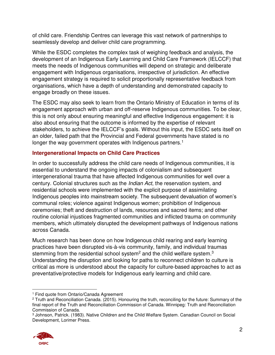of child care. Friendship Centres can leverage this vast network of partnerships to seamlessly develop and deliver child care programming.

While the ESDC completes the complex task of weighing feedback and analysis, the development of an Indigenous Early Learning and Child Care Framework (IELCCF) that meets the needs of Indigenous communities will depend on strategic and deliberate engagement with Indigenous organisations, irrespective of jurisdiction. An effective engagement strategy is required to solicit proportionally representative feedback from organisations, which have a depth of understanding and demonstrated capacity to engage broadly on these issues.

The ESDC may also seek to learn from the Ontario Ministry of Education in terms of its engagement approach with urban and off-reserve Indigenous communities. To be clear, this is not only about ensuring meaningful and effective Indigenous engagement: it is also about ensuring that the outcome is informed by the expertise of relevant stakeholders, to achieve the IELCCF's goals. Without this input, the ESDC sets itself on an older, failed path that the Provincial and Federal governments have stated is no longer the way government operates with Indigenous partners.<sup>1</sup>

### **Intergenerational Impacts on Child Care Practices**

In order to successfully address the child care needs of Indigenous communities, it is essential to understand the ongoing impacts of colonialism and subsequent intergenerational trauma that have affected Indigenous communities for well over a century. Colonial structures such as the *Indian Act*, the reservation system, and residential schools were implemented with the explicit purpose of assimilating Indigenous peoples into mainstream society. The subsequent devaluation of women's communal roles; violence against Indigenous women; prohibition of Indigenous ceremonies; theft and destruction of lands, resources and sacred items; and other routine colonial injustices fragmented communities and inflicted trauma on community members, which ultimately disrupted the development pathways of Indigenous nations across Canada.

Much research has been done on how Indigenous child rearing and early learning practices have been disrupted vis-à-vis community, family, and individual traumas stemming from the residential school system<sup>2</sup> and the child welfare system.<sup>3</sup> Understanding the disruption and looking for paths to reconnect children to culture is critical as more is understood about the capacity for culture-based approaches to act as preventative/protective models for Indigenous early learning and child care.

<sup>3</sup> Johnson, Patrick. (1983). Native Children and the Child Welfare System. Canadian Council on Social Development, Lorimer Press.



 $\overline{a}$ 1 Find quote from Ontario/Canada Agreement

<sup>2</sup> Truth and Reconciliation Canada. (2015). Honouring the truth, reconciling for the future: Summary of the final report of the Truth and Reconciliation Commission of Canada. Winnipeg: Truth and Reconciliation Commission of Canada.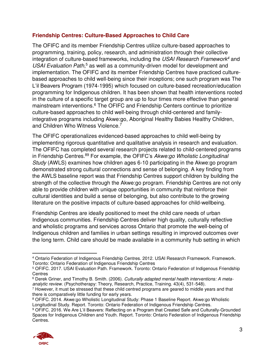#### **Friendship Centres: Culture-Based Approaches to Child Care**

The OFIFC and its member Friendship Centres utilize culture-based approaches to programming, training, policy, research, and administration through their collective integration of culture-based frameworks, including the *USAI Research Framework<sup>4</sup>* and USAI Evaluation Path,<sup>5</sup> as well as a community-driven model for development and implementation. The OFIFC and its member Friendship Centres have practiced culturebased approaches to child well-being since their inceptions; one such program was The L'il Beavers Program (1974-1995) which focused on culture-based recreation/education programming for Indigenous children. It has been shown that health interventions rooted in the culture of a specific target group are up to four times more effective than general mainstream interventions.<sup>6</sup> The OFIFC and Friendship Centers continue to prioritize culture-based approaches to child well-being through child-centered and familyintegrative programs including Akwe:go, Aboriginal Healthy Babies Healthy Children, and Children Who Witness Violence.<sup>7</sup>

The OFIFC operationalizes evidenced-based approaches to child well-being by implementing rigorous quantitative and qualitative analysis in research and evaluation. The OFIFC has completed several research projects related to child-centered programs in Friendship Centres.<sup>89</sup> For example, the OFIFC's *Akwe:go Wholistic Longitudinal Study* (AWLS) examines how children ages 6-10 participating in the Akwe:go program demonstrated strong cultural connections and sense of belonging. A key finding from the AWLS baseline report was that Friendship Centres support children by building the strength of the collective through the Akwe:go program. Friendship Centres are not only able to provide children with unique opportunities in community that reinforce their cultural identities and build a sense of belonging, but also contribute to the growing literature on the positive impacts of culture-based approaches for child-wellbeing.

Friendship Centres are ideally positioned to meet the child care needs of urban Indigenous communities. Friendship Centres deliver high quality, culturally reflective and wholistic programs and services across Ontario that promote the well-being of Indigenous children and families in urban settings resulting in improved outcomes over the long term. Child care should be made available in a community hub setting in which

<sup>9</sup> OFIFC. 2016. We Are L'il Beavers: Reflecting on a Program that Created Safe and Culturally-Grounded Spaces for Indigenous Children and Youth. Report. Toronto: Ontario Federation of Indigenous Friendship Centres.



 $\overline{a}$ 4 Ontario Federation of Indigenous Friendship Centres. 2012. USAI Research Framework. Framework. Toronto: Ontario Federation of Indigenous Friendship Centres

<sup>&</sup>lt;sup>5</sup> OFIFC. 2017. USAI Evaluation Path. Framework. Toronto: Ontario Federation of Indigenous Friendship **Centres** 

<sup>6</sup> Derek Griner, and Timothy B. Smith. (2006). *Culturally adapted mental health interventions: A metaanalytic review*. (Psychotherapy: Theory, Research, Practice, Training. 43(4), 531-548).

<sup>7</sup> However, it must be stressed that these child centred programs are geared to middle years and that there is comparatively little funding for early years.

<sup>8</sup> OFIFC. 2014. Akwe:go Wholistic Longitudinal Study: Phase 1 Baseline Report. Akwe:go Wholistic Longitudinal Study. Report. Toronto: Ontario Federation of Indigenous Friendship Centres.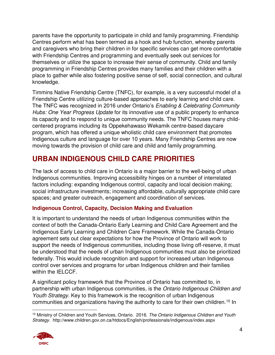parents have the opportunity to participate in child and family programming. Friendship Centres perform what has been termed as a hook and hub function, whereby parents and caregivers who bring their children in for specific services can get more comfortable with Friendship Centres and programming and eventually seek out services for themselves or utilize the space to increase their sense of community. Child and family programming in Friendship Centres provides many families and their children with a place to gather while also fostering positive sense of self, social connection, and cultural knowledge.

Timmins Native Friendship Centre (TNFC), for example, is a very successful model of a Friendship Centre utilizing culture-based approaches to early learning and child care. The TNFC was recognized in 2016 under Ontario's *Enabling & Celebrating Community Hubs: One Year Progress Update* for its innovative use of a public property to enhance its capacity and to respond to unique community needs. The TNFC houses many childcentered programs including its Oppekehawaso Wekamik centre-based daycare program, which has offered a unique wholistic child care environment that promotes Indigenous culture and language for over 10 years. Many Friendship Centres are now moving towards the provision of child care and child and family programming.

# **URBAN INDIGENOUS CHILD CARE PRIORITIES**

The lack of access to child care in Ontario is a major barrier to the well-being of urban Indigenous communities. Improving accessibility hinges on a number of interrelated factors including: expanding Indigenous control, capacity and local decision making; social infrastructure investments; increasing affordable, culturally appropriate child care spaces; and greater outreach, engagement and coordination of services.

### **Indigenous Control, Capacity, Decision Making and Evaluation**

It is important to understand the needs of urban Indigenous communities within the context of both the Canada-Ontario Early Learning and Child Care Agreement and the Indigenous Early Learning and Children Care Framework. While the Canada-Ontario agreement sets out clear expectations for how the Province of Ontario will work to support the needs of Indigenous communities, including those living off-reserve, it must be understood that the needs of urban Indigenous communities must also be prioritized federally. This would include recognition and support for increased urban Indigenous control over services and programs for urban Indigenous children and their families within the IELCCF.

A significant policy framework that the Province of Ontario has committed to, in partnership with urban Indigenous communities, is the *Ontario Indigenous Children and Youth Strategy.* Key to this framework is the recognition of urban Indigenous communities and organizations having the authority to care for their own children.<sup>10</sup> In

 $\overline{a}$ <sup>10</sup> Ministry of Children and Youth Services, Ontario. 2016. *The Ontario Indigenous Children and Youth Strategy*. http://www.children.gov.on.ca/htdocs/English/professionals/indigenous/index.aspx

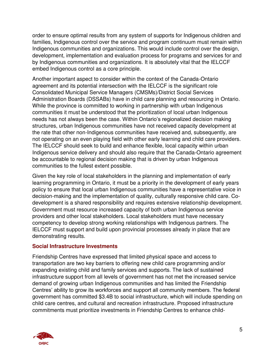order to ensure optimal results from any system of supports for Indigenous children and families, Indigenous control over the service and program continuum must remain within Indigenous communities and organizations. This would include control over the design, development, implementation and evaluation process for programs and services for and by Indigenous communities and organizations. It is absolutely vital that the IELCCF embed Indigenous control as a core principle.

Another important aspect to consider within the context of the Canada-Ontario agreement and its potential intersection with the IELCCF is the significant role Consolidated Municipal Service Managers (CMSMs)/District Social Services Administration Boards (DSSABs) have in child care planning and resourcing in Ontario. While the province is committed to working in partnership with urban Indigenous communities it must be understood that the prioritization of local urban Indigenous needs has not always been the case. Within Ontario's regionalized decision making structures, urban Indigenous communities have not received capacity development at the rate that other non-Indigenous communities have received and, subsequently, are not operating on an even playing field with other early learning and child care providers. The IELCCF should seek to build and enhance flexible, local capacity within urban Indigenous service delivery and should also require that the Canada-Ontario agreement be accountable to regional decision making that is driven by urban Indigenous communities to the fullest extent possible.

Given the key role of local stakeholders in the planning and implementation of early learning programming in Ontario, it must be a priority in the development of early years policy to ensure that local urban Indigenous communities have a representative voice in decision-making and the implementation of quality, culturally responsive child care. Codevelopment is a shared responsibility and requires extensive relationship development. Government must resource increased capacity of both urban Indigenous service providers and other local stakeholders. Local stakeholders must have necessary competency to develop strong working relationships with Indigenous partners. The IELCCF must support and build upon provincial processes already in place that are demonstrating results.

#### **Social Infrastructure Investments**

Friendship Centres have expressed that limited physical space and access to transportation are two key barriers to offering new child care programming and/or expanding existing child and family services and supports. The lack of sustained infrastructure support from all levels of government has not met the increased service demand of growing urban Indigenous communities and has limited the Friendship Centres' ability to grow its workforces and support all community members. The federal government has committed \$3.4B to social infrastructure, which will include spending on child care centres, and cultural and recreation infrastructure. Proposed infrastructure commitments must prioritize investments in Friendship Centres to enhance child-

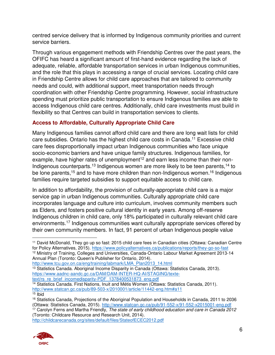centred service delivery that is informed by Indigenous community priorities and current service barriers.

Through various engagement methods with Friendship Centres over the past years, the OFIFC has heard a significant amount of first-hand evidence regarding the lack of adequate, reliable, affordable transportation services in urban Indigenous communities, and the role that this plays in accessing a range of crucial services. Locating child care in Friendship Centre allows for child care approaches that are tailored to community needs and could, with additional support, meet transportation needs through coordination with other Friendship Centre programming. However, social infrastructure spending must prioritize public transportation to ensure Indigenous families are able to access Indigenous child care centres. Additionally, child care investments must build in flexibility so that Centres can build in transportation services to clients.

## **Access to Affordable, Culturally Appropriate Child Care**

Many Indigenous families cannot afford child care and there are long wait lists for child care subsidies. Ontario has the highest child care costs in Canada.<sup>11</sup> Excessive child care fees disproportionally impact urban Indigenous communities who face unique socio-economic barriers and have unique family structures. Indigenous families, for example, have higher rates of unemployment<sup>12</sup> and earn less income than their non-Indigenous counterparts.<sup>13</sup> Indigenous women are more likely to be teen parents.<sup>14</sup> to be lone parents,<sup>15</sup> and to have more children than non-Indigenous women.<sup>16</sup> Indigenous families require targeted subsidies to support equitable access to child care.

In addition to affordability, the provision of culturally-appropriate child care is a major service gap in urban Indigenous communities. Culturally appropriate child care incorporates language and culture into curriculum, involves community members such as Elders, and fosters positive cultural identity in early years. Among off-reserve Indigenous children in child care, only 18% participated in culturally relevant child care environments.<sup>17</sup> Indigenous communities want culturally appropriate services offered by their own community members. In fact, 91 percent of urban Indigenous people value

[http://www.tcu.gov.on.ca/eng/training/labmark/LMA\\_Plan2013\\_14.html](http://www.tcu.gov.on.ca/eng/training/labmark/LMA_Plan2013_14.html) 

<http://childcarecanada.org/sites/default/files/StateofECEC2012.pdf>



 $\overline{a}$ <sup>11</sup> David McDonald, They go up so fast: 2015 child care fees in Canadian cities (Ottawa: Canadian Centre for Policy Alternatives, 2015).<https://www.policyalternatives.ca/publications/reports/they-go-so-fast>

<sup>12</sup> Ministry of Training, Colleges and Universities, Canada-Ontario Labour Market Agreement 2013-14 Annual Plan (Toronto: Queen's Publisher for Ontario, 2014).

<sup>&</sup>lt;sup>13</sup> Statistics Canada. Aboriginal Income Disparity in Canada (Ottawa: Statistics Canada, 2013). [https://www.aadnc-aandc.gc.ca/DAM/DAM-INTER-HQ-AI/STAGING/texte](https://www.aadnc-aandc.gc.ca/DAM/DAM-INTER-HQ-AI/STAGING/texte-text/rs_re_brief_incomedisparity-PDF_1378400531873_eng.pdf)text/rs\_re\_brief\_incomedisparity-PDF\_1378400531873\_eng.pdf

<sup>&</sup>lt;sup>14</sup> Statistics Canada. First Nations, Inuit and Métis Women (Ottawa: Statistics Canada, 2011). <http://www.statcan.gc.ca/pub/89-503-x/2010001/article/11442-eng.htm#a11>  $15$  Ibid

<sup>16</sup> Statistics Canada, Projections of the Aboriginal Population and Households in Canada, 2011 to 2036 (Ottawa: Statistics Canada, 2015).<http://www.statcan.gc.ca/pub/91-552-x/91-552-x2015001-eng.pdf>

<sup>17</sup> Carolyn Ferns and Martha Friendly, *The state of early childhood education and care in Canada 2012* (Toronto: Childcare Resource and Research Unit, 2014).